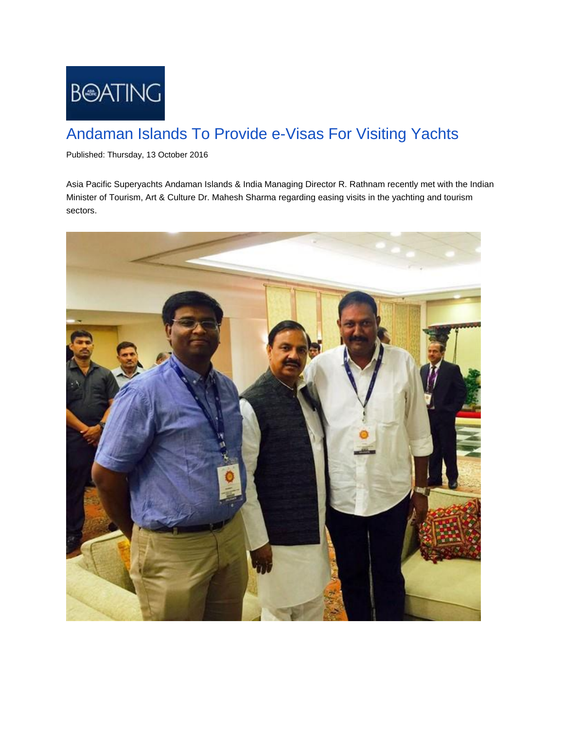

## Andaman Islands To Provide e-Visas For Visiting Yachts

Published: Thursday, 13 October 2016

Asia Pacific Superyachts Andaman Islands & India Managing Director R. Rathnam recently met with the Indian Minister of Tourism, Art & Culture Dr. Mahesh Sharma regarding easing visits in the yachting and tourism sectors.